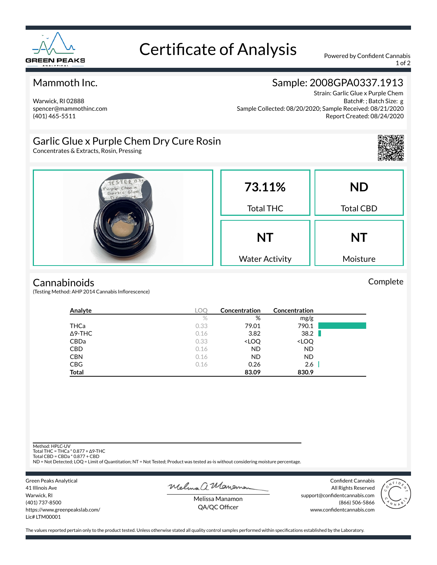

# Certificate of Analysis Powered by Confident Cannabis

1 of 2

### Mammoth Inc.

Warwick, RI 02888 spencer@mammothinc.com (401) 465-5511

## Sample: 2008GPA0337.1913

Strain: Garlic Glue x Purple Chem Batch#: ; Batch Size: g Sample Collected: 08/20/2020; Sample Received: 08/21/2020 Report Created: 08/24/2020

## Garlic Glue x Purple Chem Dry Cure Rosin

Concentrates & Extracts, Rosin, Pressing



Complete



#### **Cannabinoids**

(Testing Method: AHP 2014 Cannabis Inflorescence)

| Analyte        | <b>LOC</b> | Concentration                                            | Concentration                |  |
|----------------|------------|----------------------------------------------------------|------------------------------|--|
|                | $\%$       | %                                                        | mg/g                         |  |
| <b>THCa</b>    | 0.33       | 79.01                                                    | 790.1                        |  |
| $\Delta$ 9-THC | 0.16       | 3.82                                                     | 38.2                         |  |
| CBDa           | 0.33       | <loq< td=""><td><loq< td=""><td></td></loq<></td></loq<> | <loq< td=""><td></td></loq<> |  |
| <b>CBD</b>     | 0.16       | <b>ND</b>                                                | <b>ND</b>                    |  |
| <b>CBN</b>     | 0.16       | <b>ND</b>                                                | <b>ND</b>                    |  |
| <b>CBG</b>     | 0.16       | 0.26                                                     | 2.6                          |  |
| <b>Total</b>   |            | 83.09                                                    | 830.9                        |  |

Method: HPLC-UV

Total THC = THCa \* 0.877 + ∆9-THC Total CBD = CBDa \* 0.877 + CBD

ND = Not Detected; LOQ = Limit of Quantitation; NT = Not Tested; Product was tested as-is without considering moisture percentage.

Green Peaks Analytical 41 Illinois Ave Warwick, RI (401) 737-8500 https://www.greenpeakslab.com/ Lic# LTM00001

Melma a Maneman

Confident Cannabis All Rights Reserved support@confidentcannabis.com (866) 506-5866 www.confidentcannabis.com



Melissa Manamon QA/QC Officer

The values reported pertain only to the product tested. Unless otherwise stated all quality control samples performed within specifications established by the Laboratory.